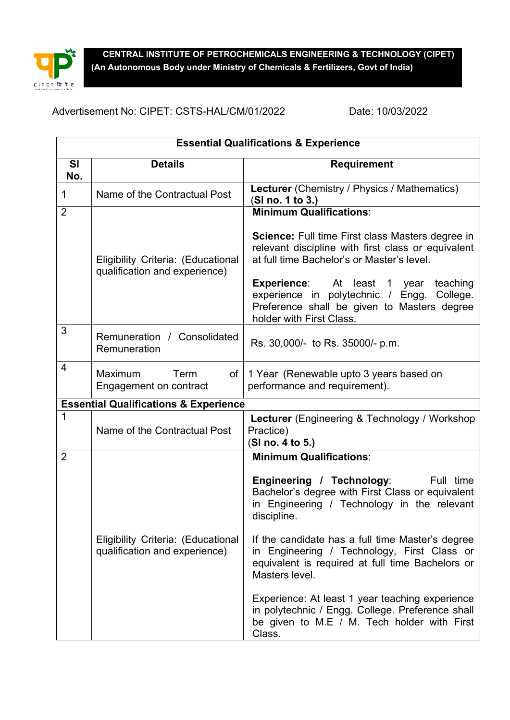

**CENTRAL INSTITUTE OF PETROCHEMICALS ENGINEERING & TECHNOLOGY (CIPET) (An Autonomous Body under Ministry of Chemicals & Fertilizers, Govt of India)** 

Advertisement No: CIPET: CSTS-HAL/CM/01/2022 Date: 10/03/2022

| <b>Essential Qualifications &amp; Experience</b> |                                                                     |                                                                                                                                                                                                                                                                                                                                                                                                                                                                                                   |  |  |
|--------------------------------------------------|---------------------------------------------------------------------|---------------------------------------------------------------------------------------------------------------------------------------------------------------------------------------------------------------------------------------------------------------------------------------------------------------------------------------------------------------------------------------------------------------------------------------------------------------------------------------------------|--|--|
| SI<br>No.                                        | <b>Details</b>                                                      | <b>Requirement</b>                                                                                                                                                                                                                                                                                                                                                                                                                                                                                |  |  |
| 1                                                | Name of the Contractual Post                                        | <b>Lecturer</b> (Chemistry / Physics / Mathematics)<br>(SI no. 1 to 3.)                                                                                                                                                                                                                                                                                                                                                                                                                           |  |  |
| $\overline{2}$                                   | Eligibility Criteria: (Educational<br>qualification and experience) | <b>Minimum Qualifications:</b><br><b>Science:</b> Full time First class Masters degree in<br>relevant discipline with first class or equivalent<br>at full time Bachelor's or Master's level.<br><b>Experience:</b> At least 1 year<br>teaching<br>experience in polytechnic / Engg.<br>College.<br>Preference shall be given to Masters degree<br>holder with First Class.                                                                                                                       |  |  |
| 3                                                | Remuneration / Consolidated<br>Remuneration                         | Rs. 30,000/- to Rs. 35000/- p.m.                                                                                                                                                                                                                                                                                                                                                                                                                                                                  |  |  |
| 4                                                | Maximum<br>Term<br>of l<br>Engagement on contract                   | 1 Year (Renewable upto 3 years based on<br>performance and requirement).                                                                                                                                                                                                                                                                                                                                                                                                                          |  |  |
| <b>Essential Qualifications &amp; Experience</b> |                                                                     |                                                                                                                                                                                                                                                                                                                                                                                                                                                                                                   |  |  |
| 1                                                | Name of the Contractual Post                                        | <b>Lecturer</b> (Engineering & Technology / Workshop<br>Practice)<br>(SI no. 4 to 5.)                                                                                                                                                                                                                                                                                                                                                                                                             |  |  |
| $\overline{2}$                                   |                                                                     | <b>Minimum Qualifications:</b>                                                                                                                                                                                                                                                                                                                                                                                                                                                                    |  |  |
|                                                  | Eligibility Criteria: (Educational<br>qualification and experience) | Engineering / Technology:<br>Full time<br>Bachelor's degree with First Class or equivalent<br>in Engineering / Technology in the relevant<br>discipline.<br>If the candidate has a full time Master's degree<br>in Engineering / Technology, First Class or<br>equivalent is required at full time Bachelors or<br>Masters level.<br>Experience: At least 1 year teaching experience<br>in polytechnic / Engg. College. Preference shall<br>be given to M.E / M. Tech holder with First<br>Class. |  |  |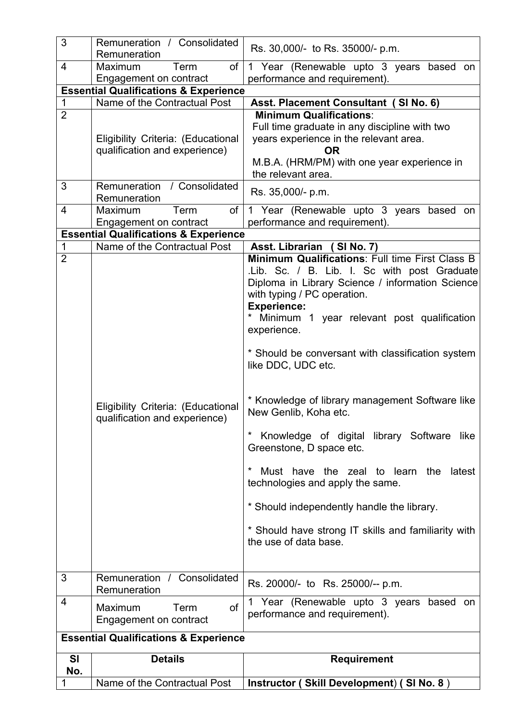| 3                                                | Remuneration / Consolidated<br>Remuneration                                      | Rs. 30,000/- to Rs. 35000/- p.m.                                                                                                                                                                                                                                                                                                                                                                                                                                                                                                                                                                                                                                     |  |  |
|--------------------------------------------------|----------------------------------------------------------------------------------|----------------------------------------------------------------------------------------------------------------------------------------------------------------------------------------------------------------------------------------------------------------------------------------------------------------------------------------------------------------------------------------------------------------------------------------------------------------------------------------------------------------------------------------------------------------------------------------------------------------------------------------------------------------------|--|--|
| 4                                                | of<br>Maximum<br>Term                                                            | Year (Renewable upto 3 years based on<br>$\mathbf{1}$                                                                                                                                                                                                                                                                                                                                                                                                                                                                                                                                                                                                                |  |  |
|                                                  | Engagement on contract                                                           | performance and requirement).                                                                                                                                                                                                                                                                                                                                                                                                                                                                                                                                                                                                                                        |  |  |
|                                                  | <b>Essential Qualifications &amp; Experience</b>                                 |                                                                                                                                                                                                                                                                                                                                                                                                                                                                                                                                                                                                                                                                      |  |  |
| 1                                                | Name of the Contractual Post                                                     | Asst. Placement Consultant (SI No. 6)                                                                                                                                                                                                                                                                                                                                                                                                                                                                                                                                                                                                                                |  |  |
| $\overline{2}$                                   |                                                                                  | <b>Minimum Qualifications:</b>                                                                                                                                                                                                                                                                                                                                                                                                                                                                                                                                                                                                                                       |  |  |
|                                                  |                                                                                  | Full time graduate in any discipline with two                                                                                                                                                                                                                                                                                                                                                                                                                                                                                                                                                                                                                        |  |  |
|                                                  | Eligibility Criteria: (Educational<br>qualification and experience)              | years experience in the relevant area.<br><b>OR</b>                                                                                                                                                                                                                                                                                                                                                                                                                                                                                                                                                                                                                  |  |  |
|                                                  |                                                                                  | M.B.A. (HRM/PM) with one year experience in                                                                                                                                                                                                                                                                                                                                                                                                                                                                                                                                                                                                                          |  |  |
|                                                  |                                                                                  | the relevant area.                                                                                                                                                                                                                                                                                                                                                                                                                                                                                                                                                                                                                                                   |  |  |
| 3                                                | Remuneration<br>/ Consolidated                                                   | Rs. 35,000/- p.m.                                                                                                                                                                                                                                                                                                                                                                                                                                                                                                                                                                                                                                                    |  |  |
|                                                  | Remuneration                                                                     |                                                                                                                                                                                                                                                                                                                                                                                                                                                                                                                                                                                                                                                                      |  |  |
| 4                                                | Term<br>of<br>Maximum                                                            | 1 Year (Renewable upto 3 years based on                                                                                                                                                                                                                                                                                                                                                                                                                                                                                                                                                                                                                              |  |  |
|                                                  | Engagement on contract                                                           | performance and requirement).                                                                                                                                                                                                                                                                                                                                                                                                                                                                                                                                                                                                                                        |  |  |
| $\mathbf 1$                                      | <b>Essential Qualifications &amp; Experience</b><br>Name of the Contractual Post |                                                                                                                                                                                                                                                                                                                                                                                                                                                                                                                                                                                                                                                                      |  |  |
| $\overline{2}$                                   |                                                                                  | Asst. Librarian (SI No. 7)<br>Minimum Qualifications: Full time First Class B                                                                                                                                                                                                                                                                                                                                                                                                                                                                                                                                                                                        |  |  |
|                                                  | Eligibility Criteria: (Educational<br>qualification and experience)              | .Lib. Sc. / B. Lib. I. Sc with post Graduate<br>Diploma in Library Science / information Science<br>with typing / PC operation.<br><b>Experience:</b><br>* Minimum 1 year relevant post qualification<br>experience.<br>* Should be conversant with classification system<br>like DDC, UDC etc.<br>* Knowledge of library management Software like<br>New Genlib, Koha etc.<br>Knowledge of digital library Software like<br>Greenstone, D space etc.<br>Must have the zeal to learn the<br>latest<br>technologies and apply the same.<br>* Should independently handle the library.<br>* Should have strong IT skills and familiarity with<br>the use of data base. |  |  |
| 3                                                | Remuneration / Consolidated<br>Remuneration                                      | Rs. 20000/- to Rs. 25000/-- p.m.                                                                                                                                                                                                                                                                                                                                                                                                                                                                                                                                                                                                                                     |  |  |
| 4                                                | of<br>Maximum<br>Term<br><b>Engagement on contract</b>                           | 1 Year (Renewable upto 3 years based on<br>performance and requirement).                                                                                                                                                                                                                                                                                                                                                                                                                                                                                                                                                                                             |  |  |
| <b>Essential Qualifications &amp; Experience</b> |                                                                                  |                                                                                                                                                                                                                                                                                                                                                                                                                                                                                                                                                                                                                                                                      |  |  |
| SI                                               | <b>Details</b>                                                                   | <b>Requirement</b>                                                                                                                                                                                                                                                                                                                                                                                                                                                                                                                                                                                                                                                   |  |  |
| No.                                              |                                                                                  |                                                                                                                                                                                                                                                                                                                                                                                                                                                                                                                                                                                                                                                                      |  |  |
|                                                  | Name of the Contractual Post                                                     | Instructor (Skill Development) (SI No. 8)                                                                                                                                                                                                                                                                                                                                                                                                                                                                                                                                                                                                                            |  |  |